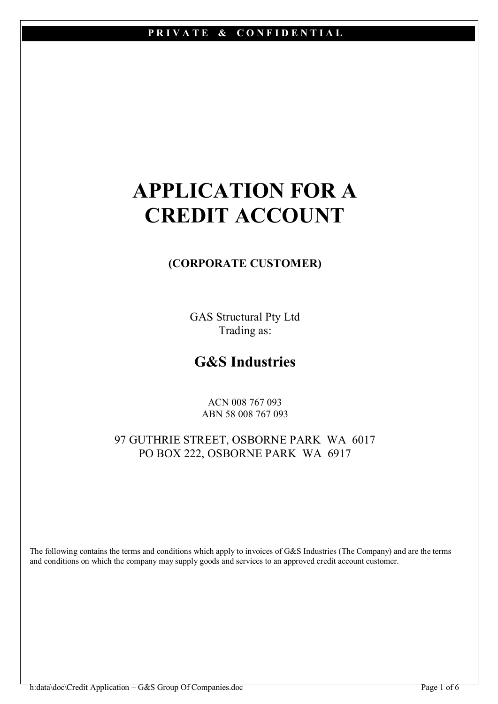# APPLICATION FOR A CREDIT ACCOUNT

# (CORPORATE CUSTOMER)

GAS Structural Pty Ltd Trading as:

# G&S Industries

ACN 008 767 093 ABN 58 008 767 093

97 GUTHRIE STREET, OSBORNE PARK WA 6017 PO BOX 222, OSBORNE PARK WA 6917

The following contains the terms and conditions which apply to invoices of G&S Industries (The Company) and are the terms and conditions on which the company may supply goods and services to an approved credit account customer.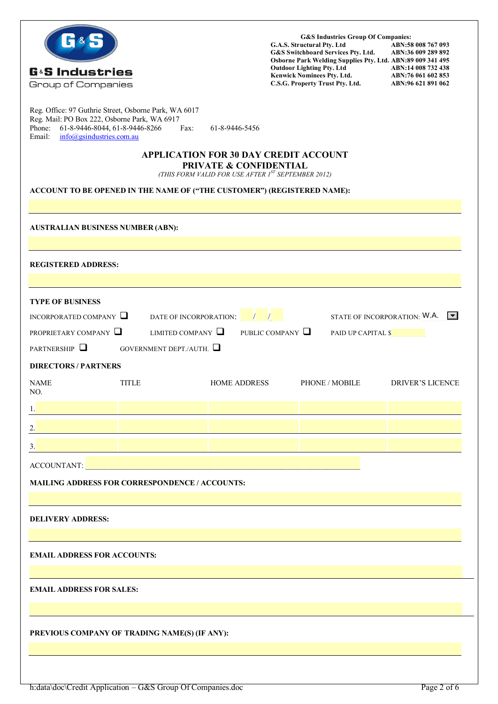

G&S Industries Group Of Companies:<br>G.A.S. Structural Ptv. Ltd ABN:58 G&S Industries Group Of Companies:<br>G.A.S. Structural Pty. Ltd ABN:58 008 767 093<br>G&S Switchboard Services Ptv. Ltd. ABN:36 009 289 892 G&S Switchboard Services Pty. Ltd. ABN:36 009 289 892 Osborne Park Welding Supplies Pty. Ltd. ABN:89 009 341 495  $\blacksquare$   $\blacksquare$   $\blacksquare$   $\blacksquare$   $\blacksquare$   $\blacksquare$   $\blacksquare$   $\blacksquare$   $\blacksquare$   $\blacksquare$   $\blacksquare$   $\blacksquare$   $\blacksquare$   $\blacksquare$   $\blacksquare$   $\blacksquare$   $\blacksquare$   $\blacksquare$   $\blacksquare$   $\blacksquare$   $\blacksquare$   $\blacksquare$   $\blacksquare$   $\blacksquare$   $\blacksquare$   $\blacksquare$   $\blacksquare$   $\blacksquare$   $\blacksquare$   $\blacksquare$   $\blacksquare$   $\blacks$ Kenwick Nominees Pty. Ltd. ABN:76 061 602 853 C.S.G. Property Trust Pty. Ltd. ABN:96 621 891 062

Reg. Office: 97 Guthrie Street, Osborne Park, WA 6017 Reg. Mail: PO Box 222, Osborne Park, WA 6917 Phone: 61-8-9446-8044, 61-8-9446-8266 Fax: 61-8-9446-5456<br>Email: info@esindustries.com.au  $info(\hat{a})$ gsindustries.com.au

#### APPLICATION FOR 30 DAY CREDIT ACCOUNT PRIVATE & CONFIDENTIAL

*(THIS FORM VALID FOR USE AFTER 1ST SEPTEMBER 2012)* 

#### ACCOUNT TO BE OPENED IN THE NAME OF ("THE CUSTOMER") (REGISTERED NAME):

| <b>AUSTRALIAN BUSINESS NUMBER (ABN):</b>                                                          |                              |                                                                 |                                 |  |  |  |  |
|---------------------------------------------------------------------------------------------------|------------------------------|-----------------------------------------------------------------|---------------------------------|--|--|--|--|
|                                                                                                   |                              |                                                                 |                                 |  |  |  |  |
| <b>REGISTERED ADDRESS:</b>                                                                        |                              |                                                                 |                                 |  |  |  |  |
|                                                                                                   |                              |                                                                 |                                 |  |  |  |  |
| <b>TYPE OF BUSINESS</b>                                                                           |                              |                                                                 |                                 |  |  |  |  |
| DATE OF INCORPORATION: $\sqrt{1}$ $\sqrt{2}$ STATE OF INCORPORATION: W.A.<br>INCORPORATED COMPANY |                              |                                                                 |                                 |  |  |  |  |
| PROPRIETARY COMPANY                                                                               |                              | LIMITED COMPANY $\Box$ PUBLIC COMPANY $\Box$ PAID UP CAPITAL \$ |                                 |  |  |  |  |
| PARTNERSHIP $\Box$                                                                                | GOVERNMENT DEPT/AUTH. $\Box$ |                                                                 |                                 |  |  |  |  |
| <b>DIRECTORS / PARTNERS</b>                                                                       |                              |                                                                 |                                 |  |  |  |  |
| <b>NAME</b><br>NO.                                                                                | <b>TITLE</b>                 | <b>HOME ADDRESS</b>                                             | PHONE / MOBILE DRIVER'S LICENCE |  |  |  |  |
| $\frac{1}{ }$                                                                                     |                              |                                                                 |                                 |  |  |  |  |
| $\overline{2}$ .                                                                                  |                              |                                                                 |                                 |  |  |  |  |
| 3.                                                                                                |                              |                                                                 |                                 |  |  |  |  |
| ACCOUNTANT: <u>ACCOUNTANT: ACCOUNTANT:</u>                                                        |                              |                                                                 |                                 |  |  |  |  |
| MAILING ADDRESS FOR CORRESPONDENCE / ACCOUNTS:                                                    |                              |                                                                 |                                 |  |  |  |  |
|                                                                                                   |                              |                                                                 |                                 |  |  |  |  |
| <b>DELIVERY ADDRESS:</b>                                                                          |                              |                                                                 |                                 |  |  |  |  |
| <b>EMAIL ADDRESS FOR ACCOUNTS:</b>                                                                |                              |                                                                 |                                 |  |  |  |  |
| <b>EMAIL ADDRESS FOR SALES:</b>                                                                   |                              |                                                                 |                                 |  |  |  |  |
| PREVIOUS COMPANY OF TRADING NAME(S) (IF ANY):                                                     |                              |                                                                 |                                 |  |  |  |  |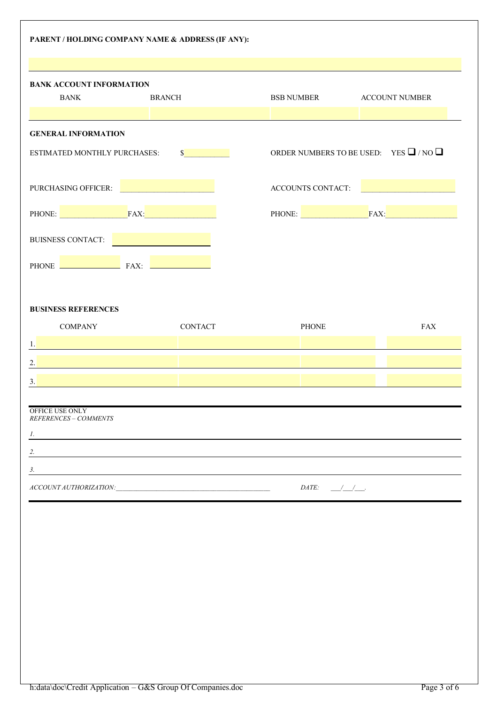| PARENT / HOLDING COMPANY NAME & ADDRESS (IF ANY):                                                                              |                                                |                                                  |             |  |  |
|--------------------------------------------------------------------------------------------------------------------------------|------------------------------------------------|--------------------------------------------------|-------------|--|--|
|                                                                                                                                |                                                |                                                  |             |  |  |
| <b>BANK ACCOUNT INFORMATION</b><br><b>BANK</b><br><b>BRANCH</b>                                                                |                                                | BSB NUMBER ACCOUNT NUMBER                        |             |  |  |
|                                                                                                                                |                                                |                                                  |             |  |  |
| <b>GENERAL INFORMATION</b>                                                                                                     |                                                |                                                  |             |  |  |
| ESTIMATED MONTHLY PURCHASES:                                                                                                   | $\mathbb{S}$ and $\mathbb{S}$ and $\mathbb{S}$ | ORDER NUMBERS TO BE USED: YES $\Box$ / NO $\Box$ |             |  |  |
| PURCHASING OFFICER:                                                                                                            |                                                | ACCOUNTS CONTACT:                                |             |  |  |
| PHONE: FAX: FAX:                                                                                                               |                                                |                                                  | PHONE: FAX: |  |  |
| BUISNESS CONTACT:                                                                                                              |                                                |                                                  |             |  |  |
| PHONE <b>Example 2</b> FAX:                                                                                                    |                                                |                                                  |             |  |  |
|                                                                                                                                |                                                |                                                  |             |  |  |
| <b>BUSINESS REFERENCES</b>                                                                                                     |                                                |                                                  |             |  |  |
| <b>COMPANY</b>                                                                                                                 | <b>CONTACT</b>                                 | <b>PHONE</b>                                     | <b>FAX</b>  |  |  |
| 1.                                                                                                                             |                                                |                                                  |             |  |  |
| 2.                                                                                                                             |                                                |                                                  |             |  |  |
| 3.                                                                                                                             |                                                |                                                  |             |  |  |
|                                                                                                                                |                                                |                                                  |             |  |  |
| OFFICE USE ONLY<br>REFERENCES - COMMENTS                                                                                       |                                                |                                                  |             |  |  |
| 1.<br><u>a sa barang sa mga barang sa mga barang sa mga barang sa mga barang sa mga barang sa mga barang sa mga barang sa </u> |                                                |                                                  |             |  |  |
| 2.                                                                                                                             |                                                |                                                  |             |  |  |
| 3.                                                                                                                             |                                                |                                                  |             |  |  |
|                                                                                                                                |                                                | DATE:<br>$\frac{1}{1-\frac{1}{2}}$               |             |  |  |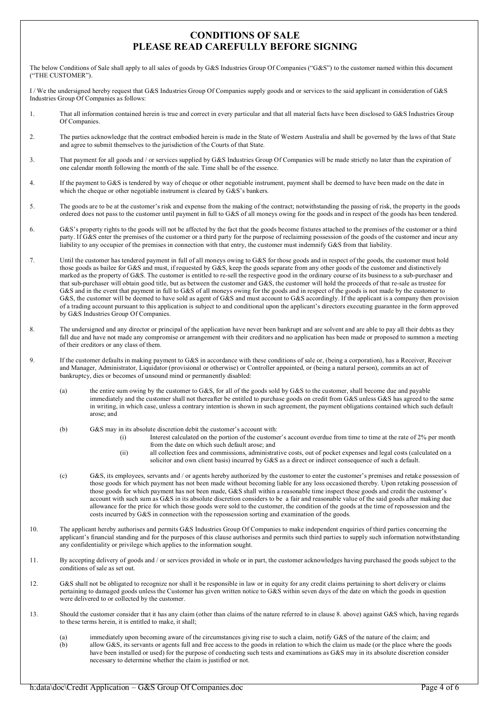### CONDITIONS OF SALE PLEASE READ CAREFULLY BEFORE SIGNING

The below Conditions of Sale shall apply to all sales of goods by G&S Industries Group Of Companies ("G&S") to the customer named within this document ("THE CUSTOMER").

I / We the undersigned hereby request that G&S Industries Group Of Companies supply goods and or services to the said applicant in consideration of G&S Industries Group Of Companies as follows:

- 1. That all information contained herein is true and correct in every particular and that all material facts have been disclosed to G&S Industries Group Of Companies.
- 2. The parties acknowledge that the contract embodied herein is made in the State of Western Australia and shall be governed by the laws of that State and agree to submit themselves to the jurisdiction of the Courts of that State.
- 3. That payment for all goods and / or services supplied by G&S Industries Group Of Companies will be made strictly no later than the expiration of one calendar month following the month of the sale. Time shall be of the essence.
- 4. If the payment to G&S is tendered by way of cheque or other negotiable instrument, payment shall be deemed to have been made on the date in which the cheque or other negotiable instrument is cleared by G&S's bankers.
- 5. The goods are to be at the customer's risk and expense from the making of the contract; notwithstanding the passing of risk, the property in the goods ordered does not pass to the customer until payment in full to G&S of all moneys owing for the goods and in respect of the goods has been tendered.
- 6. G&S's property rights to the goods will not be affected by the fact that the goods become fixtures attached to the premises of the customer or a third party. If G&S enter the premises of the customer or a third party for the purpose of reclaiming possession of the goods of the customer and incur any liability to any occupier of the premises in connection with that entry, the customer must indemnify G&S from that liability.
- 7. Until the customer has tendered payment in full of all moneys owing to G&S for those goods and in respect of the goods, the customer must hold those goods as bailee for G&S and must, if requested by G&S, keep the goods separate from any other goods of the customer and distinctively marked as the property of G&S. The customer is entitled to re-sell the respective good in the ordinary course of its business to a sub-purchaser and that sub-purchaser will obtain good title, but as between the customer and G&S, the customer will hold the proceeds of that re-sale as trustee for G&S and in the event that payment in full to G&S of all moneys owing for the goods and in respect of the goods is not made by the customer to G&S, the customer will be deemed to have sold as agent of G&S and must account to G&S accordingly. If the applicant is a company then provision of a trading account pursuant to this application is subject to and conditional upon the applicant's directors executing guarantee in the form approved by G&S Industries Group Of Companies.
- 8. The undersigned and any director or principal of the application have never been bankrupt and are solvent and are able to pay all their debts as they fall due and have not made any compromise or arrangement with their creditors and no application has been made or proposed to summon a meeting of their creditors or any class of them.
- 9. If the customer defaults in making payment to G&S in accordance with these conditions of sale or, (being a corporation), has a Receiver, Receiver and Manager, Administrator, Liquidator (provisional or otherwise) or Controller appointed, or (being a natural person), commits an act of bankruptcy, dies or becomes of unsound mind or permanently disabled:
	- (a) the entire sum owing by the customer to G&S, for all of the goods sold by G&S to the customer, shall become due and payable immediately and the customer shall not thereafter be entitled to purchase goods on credit from G&S unless G&S has agreed to the same in writing, in which case, unless a contrary intention is shown in such agreement, the payment obligations contained which such default arose; and
	- (b) G&S may in its absolute discretion debit the customer's account with:
		- (i) Interest calculated on the portion of the customer's account overdue from time to time at the rate of 2% per month from the date on which such default arose; and
		- (ii) all collection fees and commissions, administrative costs, out of pocket expenses and legal costs (calculated on a solicitor and own client basis) incurred by G&S as a direct or indirect consequence of such a default.
	- (c) G&S, its employees, servants and / or agents hereby authorized by the customer to enter the customer's premises and retake possession of those goods for which payment has not been made without becoming liable for any loss occasioned thereby. Upon retaking possession of those goods for which payment has not been made, G&S shall within a reasonable time inspect these goods and credit the customer's account with such sum as G&S in its absolute discretion considers to be a fair and reasonable value of the said goods after making due allowance for the price for which those goods were sold to the customer, the condition of the goods at the time of repossession and the costs incurred by G&S in connection with the repossession sorting and examination of the goods.
- 10. The applicant hereby authorises and permits G&S Industries Group Of Companies to make independent enquiries of third parties concerning the applicant's financial standing and for the purposes of this clause authorises and permits such third parties to supply such information notwithstanding any confidentiality or privilege which applies to the information sought.
- 11. By accepting delivery of goods and / or services provided in whole or in part, the customer acknowledges having purchased the goods subject to the conditions of sale as set out.
- 12. G&S shall not be obligated to recognize nor shall it be responsible in law or in equity for any credit claims pertaining to short delivery or claims pertaining to damaged goods unless the Customer has given written notice to G&S within seven days of the date on which the goods in question were delivered to or collected by the customer.
- 13. Should the customer consider that it has any claim (other than claims of the nature referred to in clause 8. above) against G&S which, having regards to these terms herein, it is entitled to make, it shall;
	- (a) immediately upon becoming aware of the circumstances giving rise to such a claim, notify G&S of the nature of the claim; and (b) allow G&S, its servants or agents full and free access to the goods in relation to which the claim us made (or the place where the goods have been installed or used) for the purpose of conducting such tests and examinations as G&S may in its absolute discretion consider necessary to determine whether the claim is justified or not.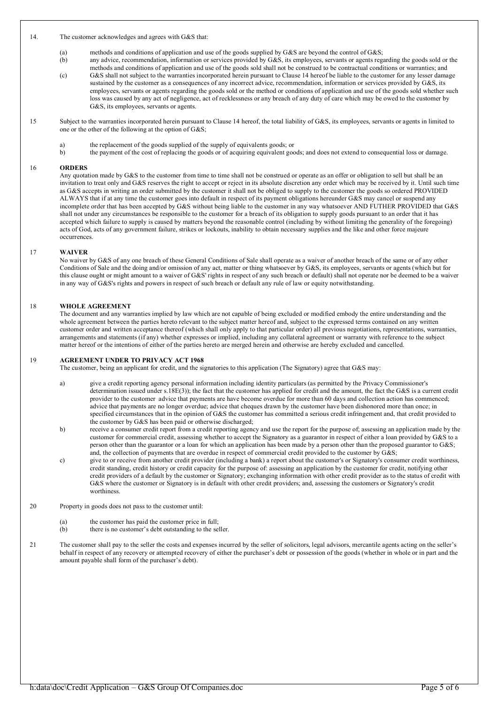#### 14. The customer acknowledges and agrees with G&S that:

- (a) methods and conditions of application and use of the goods supplied by  $G&S$  are beyond the control of  $G&S$ ; any advice, recommendation, information or services provided by  $G&S$ , its employees, servants or agents re
- any advice, recommendation, information or services provided by G&S, its employees, servants or agents regarding the goods sold or the methods and conditions of application and use of the goods sold shall not be construed to be contractual conditions or warranties; and
- (c) G&S shall not subject to the warranties incorporated herein pursuant to Clause 14 hereof be liable to the customer for any lesser damage sustained by the customer as a consequences of any incorrect advice, recommendation, information or services provided by G&S, its employees, servants or agents regarding the goods sold or the method or conditions of application and use of the goods sold whether such loss was caused by any act of negligence, act of recklessness or any breach of any duty of care which may be owed to the customer by G&S, its employees, servants or agents.
- 15 Subject to the warranties incorporated herein pursuant to Clause 14 hereof, the total liability of G&S, its employees, servants or agents in limited to one or the other of the following at the option of G&S;
	-
	- a) the replacement of the goods supplied of the supply of equivalents goods; or the payment of the cost of replacing the goods or of acquiring equivalent goods b) the payment of the cost of replacing the goods or of acquiring equivalent goods; and does not extend to consequential loss or damage.

#### 16 ORDERS

Any quotation made by G&S to the customer from time to time shall not be construed or operate as an offer or obligation to sell but shall be an invitation to treat only and G&S reserves the right to accept or reject in its absolute discretion any order which may be received by it. Until such time as G&S accepts in writing an order submitted by the customer it shall not be obliged to supply to the customer the goods so ordered PROVIDED ALWAYS that if at any time the customer goes into default in respect of its payment obligations hereunder G&S may cancel or suspend any incomplete order that has been accepted by G&S without being liable to the customer in any way whatsoever AND FUTHER PROVIDED that G&S shall not under any circumstances be responsible to the customer for a breach of its obligation to supply goods pursuant to an order that it has accepted which failure to supply is caused by matters beyond the reasonable control (including by without limiting the generality of the foregoing) acts of God, acts of any government failure, strikes or lockouts, inability to obtain necessary supplies and the like and other force majeure occurrences.

#### 17 WAIVER

No waiver by G&S of any one breach of these General Conditions of Sale shall operate as a waiver of another breach of the same or of any other Conditions of Sale and the doing and/or omission of any act, matter or thing whatsoever by G&S, its employees, servants or agents (which but for this clause ought or might amount to a waiver of G&S' rights in respect of any such breach or default) shall not operate nor be deemed to be a waiver in any way of G&S's rights and powers in respect of such breach or default any rule of law or equity notwithstanding.

#### 18 WHOLE AGREEMENT

The document and any warranties implied by law which are not capable of being excluded or modified embody the entire understanding and the whole agreement between the parties hereto relevant to the subject matter hereof and, subject to the expressed terms contained on any written customer order and written acceptance thereof (which shall only apply to that particular order) all previous negotiations, representations, warranties, arrangements and statements (if any) whether expresses or implied, including any collateral agreement or warranty with reference to the subject matter hereof or the intentions of either of the parties hereto are merged herein and otherwise are hereby excluded and cancelled.

#### 19 AGREEMENT UNDER TO PRIVACY ACT 1968

The customer, being an applicant for credit, and the signatories to this application (The Signatory) agree that G&S may:

- a) give a credit reporting agency personal information including identity particulars (as permitted by the Privacy Commissioner's determination issued under s.18E(3)); the fact that the customer has applied for credit and the amount, the fact the G&S is a current credit provider to the customer advice that payments are have become overdue for more than 60 days and collection action has commenced; advice that payments are no longer overdue; advice that cheques drawn by the customer have been dishonored more than once; in specified circumstances that in the opinion of G&S the customer has committed a serious credit infringement and, that credit provided to the customer by G&S has been paid or otherwise discharged;
- b) receive a consumer credit report from a credit reporting agency and use the report for the purpose of; assessing an application made by the customer for commercial credit, assessing whether to accept the Signatory as a guarantor in respect of either a loan provided by G&S to a person other than the guarantor or a loan for which an application has been made by a person other than the proposed guarantor to G&S; and, the collection of payments that are overdue in respect of commercial credit provided to the customer by G&S;
- c) give to or receive from another credit provider (including a bank) a report about the customer's or Signatory's consumer credit worthiness, credit standing, credit history or credit capacity for the purpose of: assessing an application by the customer for credit, notifying other credit providers of a default by the customer or Signatory; exchanging information with other credit provider as to the status of credit with G&S where the customer or Signatory is in default with other credit providers; and, assessing the customers or Signatory's credit worthiness.
- 20 Property in goods does not pass to the customer until:
	- (a) the customer has paid the customer price in full;
		- (b) there is no customer's debt outstanding to the seller.
- 21 The customer shall pay to the seller the costs and expenses incurred by the seller of solicitors, legal advisors, mercantile agents acting on the seller's behalf in respect of any recovery or attempted recovery of either the purchaser's debt or possession of the goods (whether in whole or in part and the amount payable shall form of the purchaser's debt).